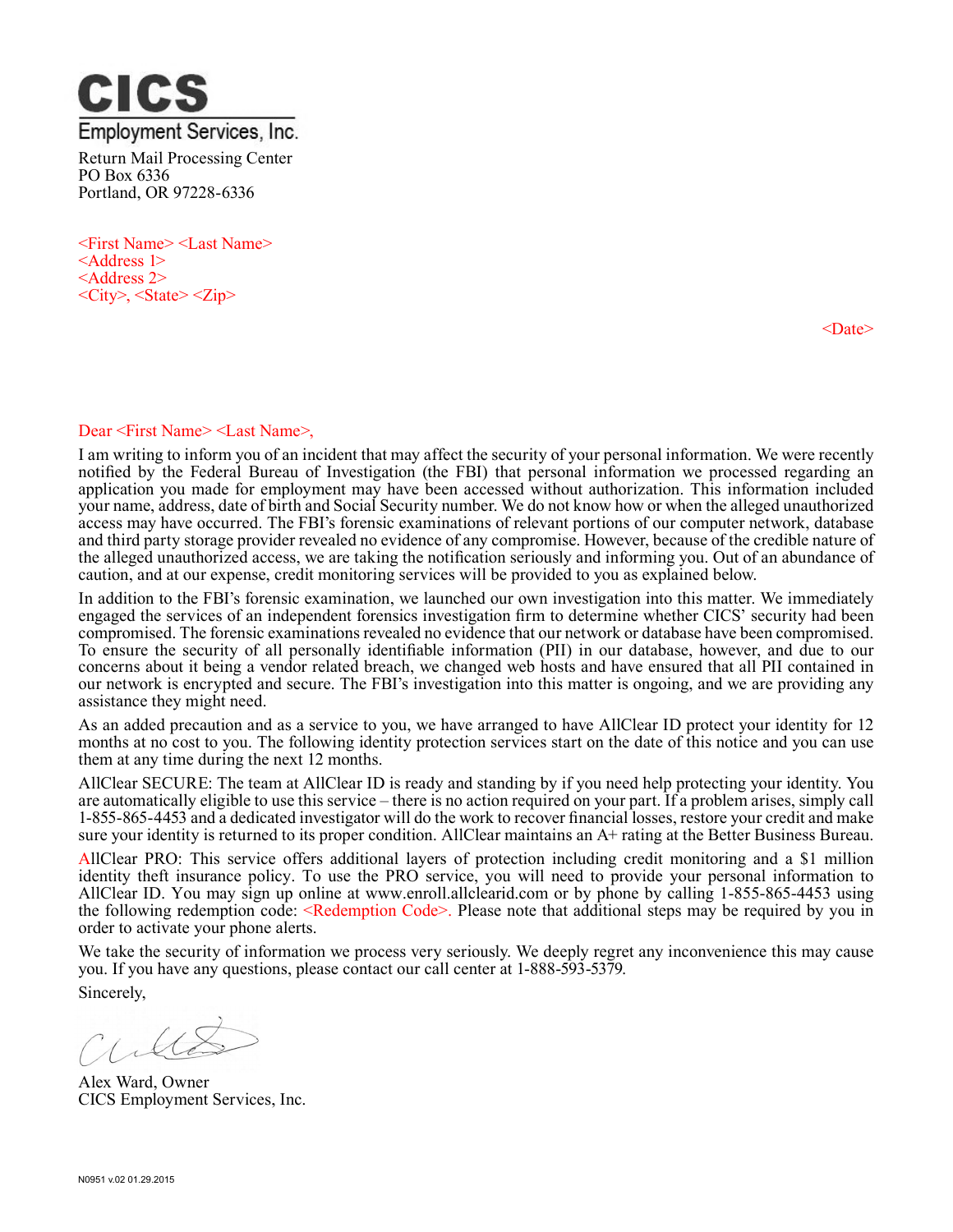

<First Name> <Last Name> <Address 1> <Address 2>  $\langle City\rangle$ ,  $\langle State\rangle \langle Zip\rangle$ 

<Date>

## Dear <First Name> <Last Name>,

I am writing to inform you of an incident that may affect the security of your personal information. We were recently notified by the Federal Bureau of Investigation (the FBI) that personal information we processed regarding an application you made for employment may have been accessed without authorization. This information included your name, address, date of birth and Social Security number. We do not know how or when the alleged unauthorized access may have occurred. The FBI's forensic examinations of relevant portions of our computer network, database and third party storage provider revealed no evidence of any compromise. However, because of the credible nature of the alleged unauthorized access, we are taking the notification seriously and informing you. Out of an abundance of caution, and at our expense, credit monitoring services will be provided to you as explained below.

In addition to the FBI's forensic examination, we launched our own investigation into this matter. We immediately engaged the services of an independent forensics investigation firm to determine whether CICS' security had been compromised. The forensic examinations revealed no evidence that our network or database have been compromised. To ensure the security of all personally identifiable information (PII) in our database, however, and due to our concerns about it being a vendor related breach, we changed web hosts and have ensured that all PII contained in our network is encrypted and secure. The FBI's investigation into this matter is ongoing, and we are providing any assistance they might need.

As an added precaution and as a service to you, we have arranged to have AllClear ID protect your identity for 12 months at no cost to you. The following identity protection services start on the date of this notice and you can use them at any time during the next 12 months.

AllClear SECURE: The team at AllClear ID is ready and standing by if you need help protecting your identity. You are automatically eligible to use this service – there is no action required on your part. If a problem arises, simply call 1-855-865-4453 and a dedicated investigator will do the work to recover financial losses, restore your credit and make sure your identity is returned to its proper condition. AllClear maintains an A+ rating at the Better Business Bureau.

AllClear PRO: This service offers additional layers of protection including credit monitoring and a \$1 million identity theft insurance policy. To use the PRO service, you will need to provide your personal information to AllClear ID. You may sign up online at www.enroll.allclearid.com or by phone by calling 1-855-865-4453 using the following redemption code: <Redemption Code>. Please note that additional steps may be required by you in order to activate your phone alerts.

We take the security of information we process very seriously. We deeply regret any inconvenience this may cause you. If you have any questions, please contact our call center at 1-888-593-5379.

Sincerely,

les

Alex Ward, Owner CICS Employment Services, Inc.